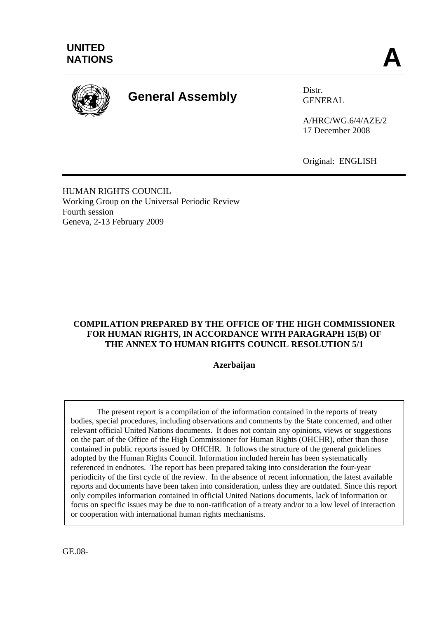

# **General Assembly** Distr.

GENERAL

A/HRC/WG.6/4/AZE/2 17 December 2008

Original: ENGLISH

HUMAN RIGHTS COUNCIL Working Group on the Universal Periodic Review Fourth session Geneva, 2-13 February 2009

#### **COMPILATION PREPARED BY THE OFFICE OF THE HIGH COMMISSIONER FOR HUMAN RIGHTS, IN ACCORDANCE WITH PARAGRAPH 15(B) OF THE ANNEX TO HUMAN RIGHTS COUNCIL RESOLUTION 5/1**

#### **Azerbaijan**

 The present report is a compilation of the information contained in the reports of treaty bodies, special procedures, including observations and comments by the State concerned, and other relevant official United Nations documents. It does not contain any opinions, views or suggestions on the part of the Office of the High Commissioner for Human Rights (OHCHR), other than those contained in public reports issued by OHCHR. It follows the structure of the general guidelines adopted by the Human Rights Council. Information included herein has been systematically referenced in endnotes. The report has been prepared taking into consideration the four-year periodicity of the first cycle of the review. In the absence of recent information, the latest available reports and documents have been taken into consideration, unless they are outdated. Since this report only compiles information contained in official United Nations documents, lack of information or focus on specific issues may be due to non-ratification of a treaty and/or to a low level of interaction or cooperation with international human rights mechanisms.

GE.08-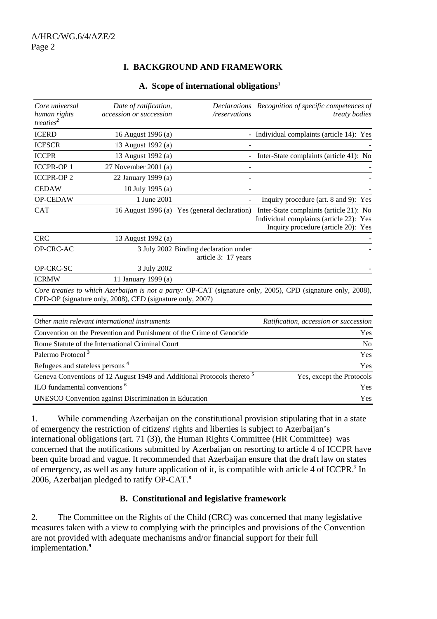## **I. BACKGROUND AND FRAMEWORK**

| A. Scope of international obligations <sup>1</sup> |  |
|----------------------------------------------------|--|
|----------------------------------------------------|--|

| Core universal                              | Date of ratification,                                                              |                                                              | Declarations Recognition of specific competences of                                                                       |
|---------------------------------------------|------------------------------------------------------------------------------------|--------------------------------------------------------------|---------------------------------------------------------------------------------------------------------------------------|
| human rights<br>treaties <sup>2</sup>       | accession or succession                                                            | /reservations                                                | <i>treaty bodies</i>                                                                                                      |
| <b>ICERD</b>                                | 16 August 1996 (a)                                                                 |                                                              | - Individual complaints (article 14): Yes                                                                                 |
| <b>ICESCR</b>                               | 13 August 1992 (a)                                                                 |                                                              |                                                                                                                           |
| <b>ICCPR</b>                                | 13 August 1992 (a)                                                                 |                                                              | - Inter-State complaints (article 41): No                                                                                 |
| <b>ICCPR-OP1</b>                            | 27 November 2001 (a)                                                               |                                                              |                                                                                                                           |
| <b>ICCPR-OP2</b>                            | 22 January 1999 (a)                                                                |                                                              |                                                                                                                           |
| <b>CEDAW</b>                                | 10 July 1995 (a)                                                                   |                                                              |                                                                                                                           |
| OP-CEDAW                                    | 1 June 2001                                                                        |                                                              | Inquiry procedure (art. 8 and 9): Yes                                                                                     |
| <b>CAT</b>                                  |                                                                                    | 16 August 1996 (a) Yes (general declaration)                 | Inter-State complaints (article 21): No<br>Individual complaints (article 22): Yes<br>Inquiry procedure (article 20): Yes |
| <b>CRC</b>                                  | 13 August 1992 (a)                                                                 |                                                              |                                                                                                                           |
| OP-CRC-AC                                   |                                                                                    | 3 July 2002 Binding declaration under<br>article 3: 17 years |                                                                                                                           |
| OP-CRC-SC                                   | 3 July 2002                                                                        |                                                              |                                                                                                                           |
| <b>ICRMW</b>                                | 11 January 1999 (a)                                                                |                                                              |                                                                                                                           |
|                                             | CPD-OP (signature only, 2008), CED (signature only, 2007)                          |                                                              | Core treaties to which Azerbaijan is not a party: OP-CAT (signature only, 2005), CPD (signature only, 2008),              |
|                                             | Other main relevant international instruments                                      |                                                              | Ratification, accession or succession                                                                                     |
|                                             | Convention on the Prevention and Punishment of the Crime of Genocide               |                                                              | Yes                                                                                                                       |
|                                             | Rome Statute of the International Criminal Court                                   |                                                              | N <sub>o</sub>                                                                                                            |
| Palermo Protocol <sup>3</sup>               |                                                                                    |                                                              | Yes                                                                                                                       |
| Refugees and stateless persons <sup>4</sup> |                                                                                    |                                                              | Yes                                                                                                                       |
|                                             | Geneva Conventions of 12 August 1949 and Additional Protocols thereto <sup>5</sup> |                                                              | Yes, except the Protocols                                                                                                 |
| ILO fundamental conventions <sup>6</sup>    |                                                                                    |                                                              | Yes                                                                                                                       |

UNESCO Convention against Discrimination in Education Yes

1. While commending Azerbaijan on the constitutional provision stipulating that in a state of emergency the restriction of citizens' rights and liberties is subject to Azerbaijan's international obligations (art. 71 (3)), the Human Rights Committee (HR Committee) was concerned that the notifications submitted by Azerbaijan on resorting to article 4 of ICCPR have been quite broad and vague. It recommended that Azerbaijan ensure that the draft law on states of emergency, as well as any future application of it, is compatible with article 4 of ICCPR.**<sup>7</sup>** In 2006, Azerbaijan pledged to ratify OP-CAT.**<sup>8</sup>**

#### **B. Constitutional and legislative framework**

2. The Committee on the Rights of the Child (CRC) was concerned that many legislative measures taken with a view to complying with the principles and provisions of the Convention are not provided with adequate mechanisms and/or financial support for their full implementation.**9**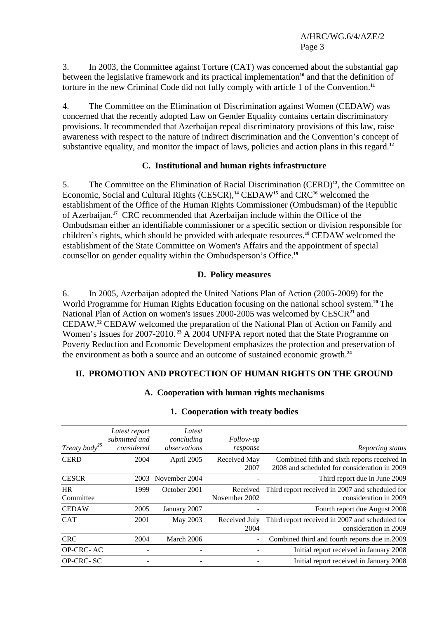3. In 2003, the Committee against Torture (CAT) was concerned about the substantial gap between the legislative framework and its practical implementation<sup>10</sup> and that the definition of torture in the new Criminal Code did not fully comply with article 1 of the Convention.**<sup>11</sup>**

4. The Committee on the Elimination of Discrimination against Women (CEDAW) was concerned that the recently adopted Law on Gender Equality contains certain discriminatory provisions. It recommended that Azerbaijan repeal discriminatory provisions of this law, raise awareness with respect to the nature of indirect discrimination and the Convention's concept of substantive equality, and monitor the impact of laws, policies and action plans in this regard.**<sup>12</sup>**

## **C. Institutional and human rights infrastructure**

5. The Committee on the Elimination of Racial Discrimination (CERD)**<sup>13</sup>**, the Committee on Economic, Social and Cultural Rights (CESCR),**<sup>14</sup>** CEDAW**<sup>15</sup>** and CRC**<sup>16</sup>** welcomed the establishment of the Office of the Human Rights Commissioner (Ombudsman) of the Republic of Azerbaijan.**<sup>17</sup>** CRC recommended that Azerbaijan include within the Office of the Ombudsman either an identifiable commissioner or a specific section or division responsible for children's rights, which should be provided with adequate resources.**<sup>18</sup>** CEDAW welcomed the establishment of the State Committee on Women's Affairs and the appointment of special counsellor on gender equality within the Ombudsperson's Office.**<sup>19</sup>**

## **D. Policy measures**

6. In 2005, Azerbaijan adopted the United Nations Plan of Action (2005-2009) for the World Programme for Human Rights Education focusing on the national school system.**<sup>20</sup>** The National Plan of Action on women's issues 2000-2005 was welcomed by CESCR<sup>21</sup> and CEDAW.**<sup>22</sup>** CEDAW welcomed the preparation of the National Plan of Action on Family and Women's Issues for 2007-2010.**<sup>23</sup>** A 2004 UNFPA report noted that the State Programme on Poverty Reduction and Economic Development emphasizes the protection and preservation of the environment as both a source and an outcome of sustained economic growth.**<sup>24</sup>**

## **II. PROMOTION AND PROTECTION OF HUMAN RIGHTS ON THE GROUND**

#### **A. Cooperation with human rights mechanisms**

| Treaty body <sup>25</sup> | Latest report<br>submitted and<br>considered | Latest<br>concluding<br>observations | Follow-up<br>response     | Reporting status                                                                             |
|---------------------------|----------------------------------------------|--------------------------------------|---------------------------|----------------------------------------------------------------------------------------------|
| <b>CERD</b>               | 2004                                         | April 2005                           | Received May<br>2007      | Combined fifth and sixth reports received in<br>2008 and scheduled for consideration in 2009 |
| <b>CESCR</b>              | 2003                                         | November 2004                        |                           | Third report due in June 2009                                                                |
| <b>HR</b><br>Committee    | 1999                                         | October 2001                         | Received<br>November 2002 | Third report received in 2007 and scheduled for<br>consideration in 2009                     |
| <b>CEDAW</b>              | 2005                                         | January 2007                         |                           | Fourth report due August 2008                                                                |
| <b>CAT</b>                | 2001                                         | May 2003                             | Received July<br>2004     | Third report received in 2007 and scheduled for<br>consideration in 2009                     |
| <b>CRC</b>                | 2004                                         | March 2006                           |                           | Combined third and fourth reports due in.2009                                                |
| <b>OP-CRC-AC</b>          |                                              |                                      |                           | Initial report received in January 2008                                                      |
| <b>OP-CRC-SC</b>          |                                              |                                      |                           | Initial report received in January 2008                                                      |

#### **1. Cooperation with treaty bodies**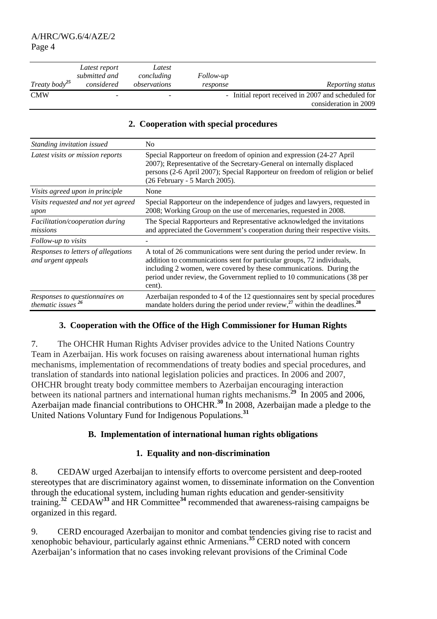| Treaty body <sup>25</sup> | Latest report<br>submitted and<br>considered | Latest<br>concluding<br>observations | <i>Follow-up</i><br>response | Reporting status                                                             |
|---------------------------|----------------------------------------------|--------------------------------------|------------------------------|------------------------------------------------------------------------------|
| <b>CMW</b>                |                                              | -                                    |                              | - Initial report received in 2007 and scheduled for<br>consideration in 2009 |

#### **2. Cooperation with special procedures**

| Standing invitation issued                                | N <sub>0</sub>                                                                                                                                                                                                                                                                                                   |
|-----------------------------------------------------------|------------------------------------------------------------------------------------------------------------------------------------------------------------------------------------------------------------------------------------------------------------------------------------------------------------------|
| Latest visits or mission reports                          | Special Rapporteur on freedom of opinion and expression (24-27 April<br>2007); Representative of the Secretary-General on internally displaced<br>persons (2-6 April 2007); Special Rapporteur on freedom of religion or belief<br>(26 February - 5 March 2005).                                                 |
| Visits agreed upon in principle                           | None                                                                                                                                                                                                                                                                                                             |
| Visits requested and not yet agreed<br>upon               | Special Rapporteur on the independence of judges and lawyers, requested in<br>2008; Working Group on the use of mercenaries, requested in 2008.                                                                                                                                                                  |
| Facilitation/cooperation during<br>missions               | The Special Rapporteurs and Representative acknowledged the invitations<br>and appreciated the Government's cooperation during their respective visits.                                                                                                                                                          |
| Follow-up to visits                                       |                                                                                                                                                                                                                                                                                                                  |
| Responses to letters of allegations<br>and urgent appeals | A total of 26 communications were sent during the period under review. In<br>addition to communications sent for particular groups, 72 individuals,<br>including 2 women, were covered by these communications. During the<br>period under review, the Government replied to 10 communications (38 per<br>cent). |
| Responses to questionnaires on<br>thematic issues $^{26}$ | Azerbaijan responded to 4 of the 12 questionnaires sent by special procedures<br>mandate holders during the period under review, <sup>27</sup> within the deadlines. <sup>28</sup>                                                                                                                               |

#### **3. Cooperation with the Office of the High Commissioner for Human Rights**

7. The OHCHR Human Rights Adviser provides advice to the United Nations Country Team in Azerbaijan. His work focuses on raising awareness about international human rights mechanisms, implementation of recommendations of treaty bodies and special procedures, and translation of standards into national legislation policies and practices. In 2006 and 2007, OHCHR brought treaty body committee members to Azerbaijan encouraging interaction between its national partners and international human rights mechanisms.<sup>29</sup> In 2005 and 2006, Azerbaijan made financial contributions to OHCHR.<sup>30</sup> In 2008, Azerbaijan made a pledge to the United Nations Voluntary Fund for Indigenous Populations.**<sup>31</sup>**

#### **B. Implementation of international human rights obligations**

#### **1. Equality and non-discrimination**

8. CEDAW urged Azerbaijan to intensify efforts to overcome persistent and deep-rooted stereotypes that are discriminatory against women, to disseminate information on the Convention through the educational system, including human rights education and gender-sensitivity training.**<sup>32</sup>** CEDAW**<sup>33</sup>** and HR Committee**<sup>34</sup>** recommended that awareness-raising campaigns be organized in this regard.

9. CERD encouraged Azerbaijan to monitor and combat tendencies giving rise to racist and xenophobic behaviour, particularly against ethnic Armenians.**<sup>35</sup>** CERD noted with concern Azerbaijan's information that no cases invoking relevant provisions of the Criminal Code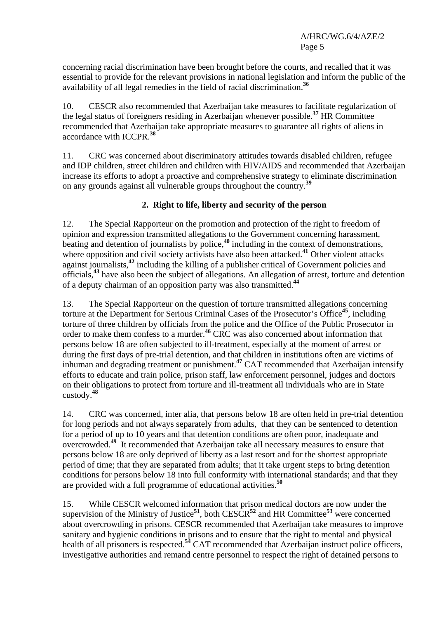concerning racial discrimination have been brought before the courts, and recalled that it was essential to provide for the relevant provisions in national legislation and inform the public of the availability of all legal remedies in the field of racial discrimination.**<sup>36</sup>**

10. CESCR also recommended that Azerbaijan take measures to facilitate regularization of the legal status of foreigners residing in Azerbaijan whenever possible.**<sup>37</sup>** HR Committee recommended that Azerbaijan take appropriate measures to guarantee all rights of aliens in accordance with ICCPR.**<sup>38</sup>**

11. CRC was concerned about discriminatory attitudes towards disabled children, refugee and IDP children, street children and children with HIV/AIDS and recommended that Azerbaijan increase its efforts to adopt a proactive and comprehensive strategy to eliminate discrimination on any grounds against all vulnerable groups throughout the country.**<sup>39</sup>**

## **2. Right to life, liberty and security of the person**

12. The Special Rapporteur on the promotion and protection of the right to freedom of opinion and expression transmitted allegations to the Government concerning harassment, beating and detention of journalists by police,**<sup>40</sup>** including in the context of demonstrations, where opposition and civil society activists have also been attacked.<sup>41</sup> Other violent attacks against journalists,**<sup>42</sup>** including the killing of a publisher critical of Government policies and officials,**<sup>43</sup>** have also been the subject of allegations. An allegation of arrest, torture and detention of a deputy chairman of an opposition party was also transmitted.**<sup>44</sup>**

13. The Special Rapporteur on the question of torture transmitted allegations concerning torture at the Department for Serious Criminal Cases of the Prosecutor's Office**<sup>45</sup>**, including torture of three children by officials from the police and the Office of the Public Prosecutor in order to make them confess to a murder.**<sup>46</sup>** CRC was also concerned about information that persons below 18 are often subjected to ill-treatment, especially at the moment of arrest or during the first days of pre-trial detention, and that children in institutions often are victims of inhuman and degrading treatment or punishment.**<sup>47</sup>** CAT recommended that Azerbaijan intensify efforts to educate and train police, prison staff, law enforcement personnel, judges and doctors on their obligations to protect from torture and ill-treatment all individuals who are in State custody.**<sup>48</sup>**

14. CRC was concerned, inter alia, that persons below 18 are often held in pre-trial detention for long periods and not always separately from adults, that they can be sentenced to detention for a period of up to 10 years and that detention conditions are often poor, inadequate and overcrowded.**<sup>49</sup>** It recommended that Azerbaijan take all necessary measures to ensure that persons below 18 are only deprived of liberty as a last resort and for the shortest appropriate period of time; that they are separated from adults; that it take urgent steps to bring detention conditions for persons below 18 into full conformity with international standards; and that they are provided with a full programme of educational activities.**<sup>50</sup>**

15. While CESCR welcomed information that prison medical doctors are now under the supervision of the Ministry of Justice<sup>51</sup>, both CESCR<sup>52</sup> and HR Committee<sup>53</sup> were concerned about overcrowding in prisons. CESCR recommended that Azerbaijan take measures to improve sanitary and hygienic conditions in prisons and to ensure that the right to mental and physical health of all prisoners is respected.<sup>54</sup> CAT recommended that Azerbaijan instruct police officers, investigative authorities and remand centre personnel to respect the right of detained persons to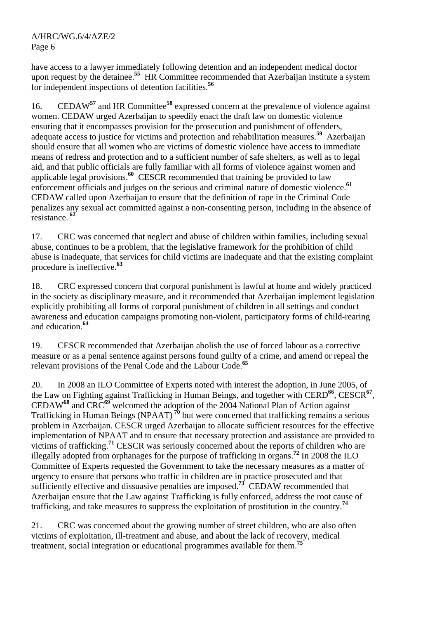have access to a lawyer immediately following detention and an independent medical doctor upon request by the detainee.<sup>55</sup> HR Committee recommended that Azerbaijan institute a system for independent inspections of detention facilities.**<sup>56</sup>**

16. CEDAW**<sup>57</sup>** and HR Committee**<sup>58</sup>** expressed concern at the prevalence of violence against women. CEDAW urged Azerbaijan to speedily enact the draft law on domestic violence ensuring that it encompasses provision for the prosecution and punishment of offenders, adequate access to justice for victims and protection and rehabilitation measures.**<sup>59</sup>** Azerbaijan should ensure that all women who are victims of domestic violence have access to immediate means of redress and protection and to a sufficient number of safe shelters, as well as to legal aid, and that public officials are fully familiar with all forms of violence against women and applicable legal provisions.**<sup>60</sup>** CESCR recommended that training be provided to law enforcement officials and judges on the serious and criminal nature of domestic violence.**<sup>61</sup>** CEDAW called upon Azerbaijan to ensure that the definition of rape in the Criminal Code penalizes any sexual act committed against a non-consenting person, including in the absence of resistance.**<sup>62</sup>**

17. CRC was concerned that neglect and abuse of children within families, including sexual abuse, continues to be a problem, that the legislative framework for the prohibition of child abuse is inadequate, that services for child victims are inadequate and that the existing complaint procedure is ineffective.**<sup>63</sup>**

18. CRC expressed concern that corporal punishment is lawful at home and widely practiced in the society as disciplinary measure, and it recommended that Azerbaijan implement legislation explicitly prohibiting all forms of corporal punishment of children in all settings and conduct awareness and education campaigns promoting non-violent, participatory forms of child-rearing and education.**<sup>64</sup>**

19. CESCR recommended that Azerbaijan abolish the use of forced labour as a corrective measure or as a penal sentence against persons found guilty of a crime, and amend or repeal the relevant provisions of the Penal Code and the Labour Code.**<sup>65</sup>**

20. In 2008 an ILO Committee of Experts noted with interest the adoption, in June 2005, of the Law on Fighting against Trafficking in Human Beings, and together with CERD**<sup>66</sup>**, CESCR**<sup>67</sup>**, CEDAW**<sup>68</sup>** and CRC**<sup>69</sup>** welcomed the adoption of the 2004 National Plan of Action against Trafficking in Human Beings (NPAAT)**<sup>70</sup>** but were concerned that trafficking remains a serious problem in Azerbaijan. CESCR urged Azerbaijan to allocate sufficient resources for the effective implementation of NPAAT and to ensure that necessary protection and assistance are provided to victims of trafficking.**<sup>71</sup>** CESCR was seriously concerned about the reports of children who are illegally adopted from orphanages for the purpose of trafficking in organs.**<sup>72</sup>** In 2008 the ILO Committee of Experts requested the Government to take the necessary measures as a matter of urgency to ensure that persons who traffic in children are in practice prosecuted and that sufficiently effective and dissuasive penalties are imposed.**<sup>73</sup>** CEDAW recommended that Azerbaijan ensure that the Law against Trafficking is fully enforced, address the root cause of trafficking, and take measures to suppress the exploitation of prostitution in the country.**<sup>74</sup>**

21. CRC was concerned about the growing number of street children, who are also often victims of exploitation, ill-treatment and abuse, and about the lack of recovery, medical treatment, social integration or educational programmes available for them.**<sup>75</sup>**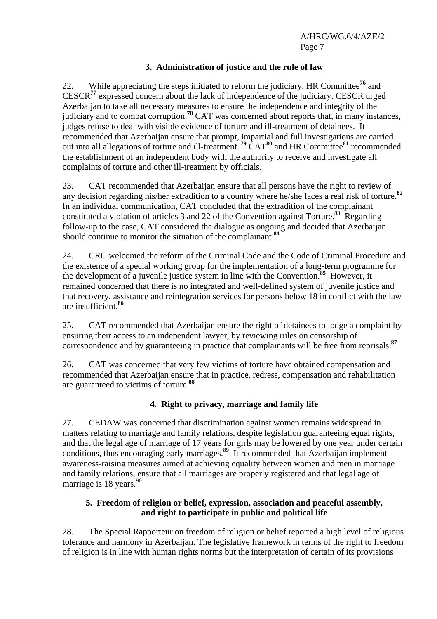## **3. Administration of justice and the rule of law**

22. While appreciating the steps initiated to reform the judiciary, HR Committee**<sup>76</sup>** and CESCR**<sup>77</sup>** expressed concern about the lack of independence of the judiciary. CESCR urged Azerbaijan to take all necessary measures to ensure the independence and integrity of the judiciary and to combat corruption.**<sup>78</sup>** CAT was concerned about reports that, in many instances, judges refuse to deal with visible evidence of torture and ill-treatment of detainees. It recommended that Azerbaijan ensure that prompt, impartial and full investigations are carried out into all allegations of torture and ill-treatment.**<sup>79</sup>** CAT**<sup>80</sup>** and HR Committee**<sup>81</sup>** recommended the establishment of an independent body with the authority to receive and investigate all complaints of torture and other ill-treatment by officials.

23. CAT recommended that Azerbaijan ensure that all persons have the right to review of any decision regarding his/her extradition to a country where he/she faces a real risk of torture.**<sup>82</sup>** In an individual communication, CAT concluded that the extradition of the complainant constituted a violation of articles 3 and 22 of the Convention against Torture.<sup>83</sup> Regarding follow-up to the case, CAT considered the dialogue as ongoing and decided that Azerbaijan should continue to monitor the situation of the complainant.**<sup>84</sup>**

24. CRC welcomed the reform of the Criminal Code and the Code of Criminal Procedure and the existence of a special working group for the implementation of a long-term programme for the development of a juvenile justice system in line with the Convention.**<sup>85</sup>** However, it remained concerned that there is no integrated and well-defined system of juvenile justice and that recovery, assistance and reintegration services for persons below 18 in conflict with the law are insufficient.**<sup>86</sup>**

25. CAT recommended that Azerbaijan ensure the right of detainees to lodge a complaint by ensuring their access to an independent lawyer, by reviewing rules on censorship of correspondence and by guaranteeing in practice that complainants will be free from reprisals.**<sup>87</sup>**

26. CAT was concerned that very few victims of torture have obtained compensation and recommended that Azerbaijan ensure that in practice, redress, compensation and rehabilitation are guaranteed to victims of torture.**<sup>88</sup>**

## **4. Right to privacy, marriage and family life**

27. CEDAW was concerned that discrimination against women remains widespread in matters relating to marriage and family relations, despite legislation guaranteeing equal rights, and that the legal age of marriage of 17 years for girls may be lowered by one year under certain conditions, thus encouraging early marriages.<sup>89</sup> It recommended that Azerbaijan implement awareness-raising measures aimed at achieving equality between women and men in marriage and family relations, ensure that all marriages are properly registered and that legal age of marriage is  $18$  years.<sup>90</sup>

## **5. Freedom of religion or belief, expression, association and peaceful assembly, and right to participate in public and political life**

28. The Special Rapporteur on freedom of religion or belief reported a high level of religious tolerance and harmony in Azerbaijan. The legislative framework in terms of the right to freedom of religion is in line with human rights norms but the interpretation of certain of its provisions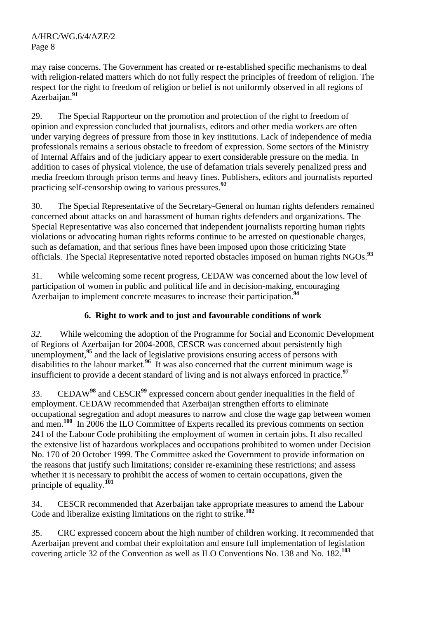may raise concerns. The Government has created or re-established specific mechanisms to deal with religion-related matters which do not fully respect the principles of freedom of religion. The respect for the right to freedom of religion or belief is not uniformly observed in all regions of Azerbaijan.<sup>91</sup>

29. The Special Rapporteur on the promotion and protection of the right to freedom of opinion and expression concluded that journalists, editors and other media workers are often under varying degrees of pressure from those in key institutions. Lack of independence of media professionals remains a serious obstacle to freedom of expression. Some sectors of the Ministry of Internal Affairs and of the judiciary appear to exert considerable pressure on the media. In addition to cases of physical violence, the use of defamation trials severely penalized press and media freedom through prison terms and heavy fines. Publishers, editors and journalists reported practicing self-censorship owing to various pressures.**<sup>92</sup>**

30. The Special Representative of the Secretary-General on human rights defenders remained concerned about attacks on and harassment of human rights defenders and organizations. The Special Representative was also concerned that independent journalists reporting human rights violations or advocating human rights reforms continue to be arrested on questionable charges, such as defamation, and that serious fines have been imposed upon those criticizing State officials. The Special Representative noted reported obstacles imposed on human rights NGOs.**<sup>93</sup>**

31. While welcoming some recent progress, CEDAW was concerned about the low level of participation of women in public and political life and in decision-making, encouraging Azerbaijan to implement concrete measures to increase their participation.**<sup>94</sup>**

# **6. Right to work and to just and favourable conditions of work**

*32.* While welcoming the adoption of the Programme for Social and Economic Development of Regions of Azerbaijan for 2004-2008, CESCR was concerned about persistently high unemployment,<sup>95</sup> and the lack of legislative provisions ensuring access of persons with disabilities to the labour market.**<sup>96</sup>** It was also concerned that the current minimum wage is insufficient to provide a decent standard of living and is not always enforced in practice.**<sup>97</sup>**

33. CEDAW**<sup>98</sup>** and CESCR**<sup>99</sup>** expressed concern about gender inequalities in the field of employment. CEDAW recommended that Azerbaijan strengthen efforts to eliminate occupational segregation and adopt measures to narrow and close the wage gap between women and men.**<sup>100</sup>** In 2006 the ILO Committee of Experts recalled its previous comments on section 241 of the Labour Code prohibiting the employment of women in certain jobs. It also recalled the extensive list of hazardous workplaces and occupations prohibited to women under Decision No. 170 of 20 October 1999. The Committee asked the Government to provide information on the reasons that justify such limitations; consider re-examining these restrictions; and assess whether it is necessary to prohibit the access of women to certain occupations, given the principle of equality.**<sup>101</sup>**

34. CESCR recommended that Azerbaijan take appropriate measures to amend the Labour Code and liberalize existing limitations on the right to strike.**<sup>102</sup>**

35. CRC expressed concern about the high number of children working. It recommended that Azerbaijan prevent and combat their exploitation and ensure full implementation of legislation covering article 32 of the Convention as well as ILO Conventions No. 138 and No. 182.**<sup>103</sup>**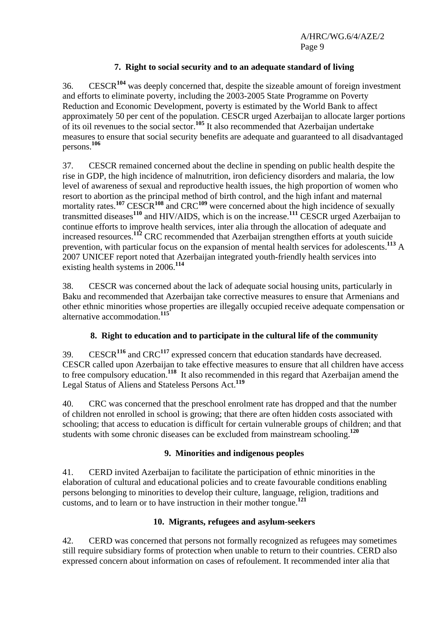## **7. Right to social security and to an adequate standard of living**

36. CESCR**<sup>104</sup>** was deeply concerned that, despite the sizeable amount of foreign investment and efforts to eliminate poverty, including the 2003-2005 State Programme on Poverty Reduction and Economic Development, poverty is estimated by the World Bank to affect approximately 50 per cent of the population. CESCR urged Azerbaijan to allocate larger portions of its oil revenues to the social sector.**<sup>105</sup>** It also recommended that Azerbaijan undertake measures to ensure that social security benefits are adequate and guaranteed to all disadvantaged persons.**<sup>106</sup>**

37. CESCR remained concerned about the decline in spending on public health despite the rise in GDP, the high incidence of malnutrition, iron deficiency disorders and malaria, the low level of awareness of sexual and reproductive health issues, the high proportion of women who resort to abortion as the principal method of birth control, and the high infant and maternal mortality rates.**<sup>107</sup>** CESCR**<sup>108</sup>** and CRC**<sup>109</sup>** were concerned about the high incidence of sexually transmitted diseases**<sup>110</sup>** and HIV/AIDS, which is on the increase.**<sup>111</sup>** CESCR urged Azerbaijan to continue efforts to improve health services, inter alia through the allocation of adequate and increased resources.**<sup>112</sup>** CRC recommended that Azerbaijan strengthen efforts at youth suicide prevention, with particular focus on the expansion of mental health services for adolescents.**<sup>113</sup>** A 2007 UNICEF report noted that Azerbaijan integrated youth-friendly health services into existing health systems in 2006.**<sup>114</sup>**

38. CESCR was concerned about the lack of adequate social housing units, particularly in Baku and recommended that Azerbaijan take corrective measures to ensure that Armenians and other ethnic minorities whose properties are illegally occupied receive adequate compensation or alternative accommodation.**<sup>115</sup>**

## **8. Right to education and to participate in the cultural life of the community**

39. CESCR**<sup>116</sup>** and CRC**<sup>117</sup>** expressed concern that education standards have decreased. CESCR called upon Azerbaijan to take effective measures to ensure that all children have access to free compulsory education.**<sup>118</sup>** It also recommended in this regard that Azerbaijan amend the Legal Status of Aliens and Stateless Persons Act.**<sup>119</sup>**

40. CRC was concerned that the preschool enrolment rate has dropped and that the number of children not enrolled in school is growing; that there are often hidden costs associated with schooling; that access to education is difficult for certain vulnerable groups of children; and that students with some chronic diseases can be excluded from mainstream schooling.**<sup>120</sup>**

#### **9. Minorities and indigenous peoples**

41. CERD invited Azerbaijan to facilitate the participation of ethnic minorities in the elaboration of cultural and educational policies and to create favourable conditions enabling persons belonging to minorities to develop their culture, language, religion, traditions and customs, and to learn or to have instruction in their mother tongue.**<sup>121</sup>**

#### **10. Migrants, refugees and asylum-seekers**

42. CERD was concerned that persons not formally recognized as refugees may sometimes still require subsidiary forms of protection when unable to return to their countries. CERD also expressed concern about information on cases of refoulement. It recommended inter alia that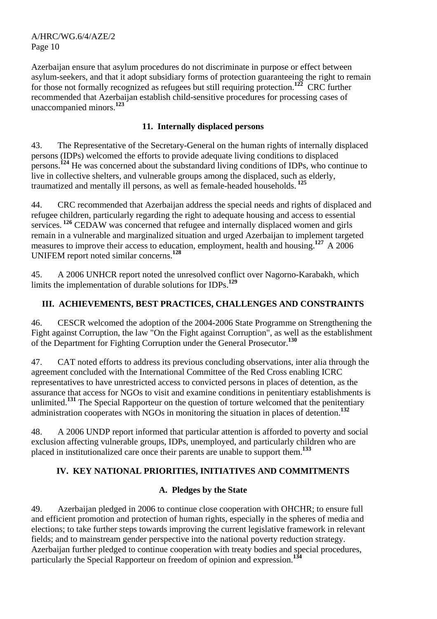Azerbaijan ensure that asylum procedures do not discriminate in purpose or effect between asylum-seekers, and that it adopt subsidiary forms of protection guaranteeing the right to remain for those not formally recognized as refugees but still requiring protection.**<sup>122</sup>** CRC further recommended that Azerbaijan establish child-sensitive procedures for processing cases of unaccompanied minors.**<sup>123</sup>**

## **11. Internally displaced persons**

43. The Representative of the Secretary-General on the human rights of internally displaced persons (IDPs) welcomed the efforts to provide adequate living conditions to displaced persons.**<sup>124</sup>** He was concerned about the substandard living conditions of IDPs, who continue to live in collective shelters, and vulnerable groups among the displaced, such as elderly, traumatized and mentally ill persons, as well as female-headed households.**<sup>125</sup>**

44. CRC recommended that Azerbaijan address the special needs and rights of displaced and refugee children, particularly regarding the right to adequate housing and access to essential services.<sup>126</sup> CEDAW was concerned that refugee and internally displaced women and girls remain in a vulnerable and marginalized situation and urged Azerbaijan to implement targeted measures to improve their access to education, employment, health and housing.<sup>127</sup> A 2006 UNIFEM report noted similar concerns.**<sup>128</sup>**

45. A 2006 UNHCR report noted the unresolved conflict over Nagorno-Karabakh, which limits the implementation of durable solutions for IDPs.**<sup>129</sup>**

## **III. ACHIEVEMENTS, BEST PRACTICES, CHALLENGES AND CONSTRAINTS**

46. CESCR welcomed the adoption of the 2004-2006 State Programme on Strengthening the Fight against Corruption, the law "On the Fight against Corruption", as well as the establishment of the Department for Fighting Corruption under the General Prosecutor.**<sup>130</sup>**

47. CAT noted efforts to address its previous concluding observations, inter alia through the agreement concluded with the International Committee of the Red Cross enabling ICRC representatives to have unrestricted access to convicted persons in places of detention, as the assurance that access for NGOs to visit and examine conditions in penitentiary establishments is unlimited.<sup>131</sup> The Special Rapporteur on the question of torture welcomed that the penitentiary administration cooperates with NGOs in monitoring the situation in places of detention.**<sup>132</sup>**

48. A 2006 UNDP report informed that particular attention is afforded to poverty and social exclusion affecting vulnerable groups, IDPs, unemployed, and particularly children who are placed in institutionalized care once their parents are unable to support them.**<sup>133</sup>**

## **IV. KEY NATIONAL PRIORITIES, INITIATIVES AND COMMITMENTS**

## **A. Pledges by the State**

49. Azerbaijan pledged in 2006 to continue close cooperation with OHCHR; to ensure full and efficient promotion and protection of human rights, especially in the spheres of media and elections; to take further steps towards improving the current legislative framework in relevant fields; and to mainstream gender perspective into the national poverty reduction strategy. Azerbaijan further pledged to continue cooperation with treaty bodies and special procedures, particularly the Special Rapporteur on freedom of opinion and expression.**<sup>134</sup>**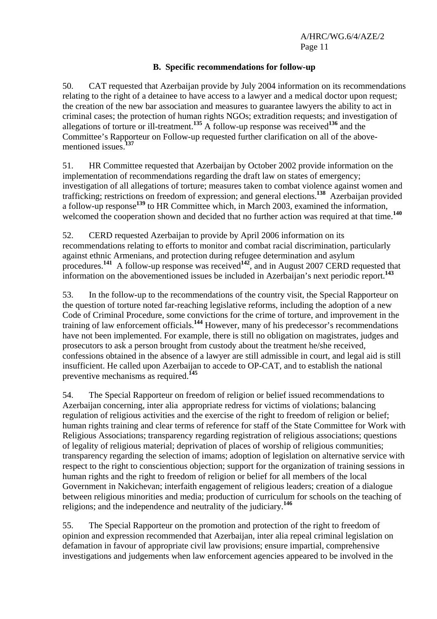### **B. Specific recommendations for follow-up**

50. CAT requested that Azerbaijan provide by July 2004 information on its recommendations relating to the right of a detainee to have access to a lawyer and a medical doctor upon request; the creation of the new bar association and measures to guarantee lawyers the ability to act in criminal cases; the protection of human rights NGOs; extradition requests; and investigation of allegations of torture or ill-treatment.**<sup>135</sup>** A follow-up response was received**<sup>136</sup>** and the Committee's Rapporteur on Follow-up requested further clarification on all of the abovementioned issues.**<sup>137</sup>**

51. HR Committee requested that Azerbaijan by October 2002 provide information on the implementation of recommendations regarding the draft law on states of emergency; investigation of all allegations of torture; measures taken to combat violence against women and trafficking; restrictions on freedom of expression; and general elections.**<sup>138</sup>** Azerbaijan provided a follow-up response**<sup>139</sup>** to HR Committee which, in March 2003, examined the information, welcomed the cooperation shown and decided that no further action was required at that time.<sup>140</sup>

52. CERD requested Azerbaijan to provide by April 2006 information on its recommendations relating to efforts to monitor and combat racial discrimination, particularly against ethnic Armenians, and protection during refugee determination and asylum procedures.<sup>141</sup> A follow-up response was received<sup>142</sup>, and in August 2007 CERD requested that information on the abovementioned issues be included in Azerbaijan's next periodic report.**<sup>143</sup>**

53. In the follow-up to the recommendations of the country visit, the Special Rapporteur on the question of torture noted far-reaching legislative reforms, including the adoption of a new Code of Criminal Procedure, some convictions for the crime of torture, and improvement in the training of law enforcement officials.**<sup>144</sup>** However, many of his predecessor's recommendations have not been implemented. For example, there is still no obligation on magistrates, judges and prosecutors to ask a person brought from custody about the treatment he/she received, confessions obtained in the absence of a lawyer are still admissible in court, and legal aid is still insufficient. He called upon Azerbaijan to accede to OP-CAT, and to establish the national preventive mechanisms as required.**<sup>145</sup>**

54. The Special Rapporteur on freedom of religion or belief issued recommendations to Azerbaijan concerning, inter alia appropriate redress for victims of violations; balancing regulation of religious activities and the exercise of the right to freedom of religion or belief; human rights training and clear terms of reference for staff of the State Committee for Work with Religious Associations; transparency regarding registration of religious associations; questions of legality of religious material; deprivation of places of worship of religious communities; transparency regarding the selection of imams; adoption of legislation on alternative service with respect to the right to conscientious objection; support for the organization of training sessions in human rights and the right to freedom of religion or belief for all members of the local Government in Nakichevan; interfaith engagement of religious leaders; creation of a dialogue between religious minorities and media; production of curriculum for schools on the teaching of religions; and the independence and neutrality of the judiciary.**<sup>146</sup>**

55. The Special Rapporteur on the promotion and protection of the right to freedom of opinion and expression recommended that Azerbaijan, inter alia repeal criminal legislation on defamation in favour of appropriate civil law provisions; ensure impartial, comprehensive investigations and judgements when law enforcement agencies appeared to be involved in the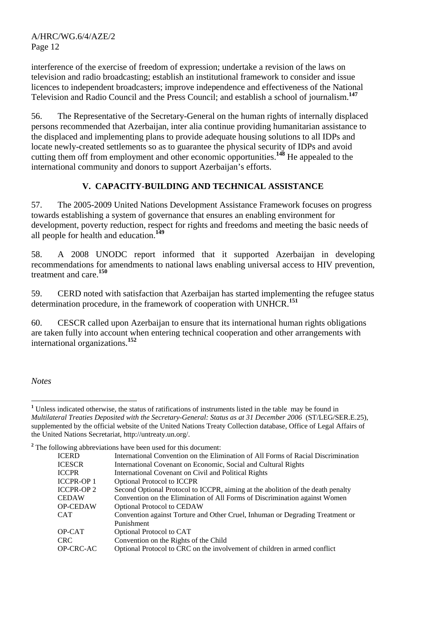interference of the exercise of freedom of expression; undertake a revision of the laws on television and radio broadcasting; establish an institutional framework to consider and issue licences to independent broadcasters; improve independence and effectiveness of the National Television and Radio Council and the Press Council; and establish a school of journalism.**<sup>147</sup>**

56. The Representative of the Secretary-General on the human rights of internally displaced persons recommended that Azerbaijan, inter alia continue providing humanitarian assistance to the displaced and implementing plans to provide adequate housing solutions to all IDPs and locate newly-created settlements so as to guarantee the physical security of IDPs and avoid cutting them off from employment and other economic opportunities.**<sup>148</sup>** He appealed to the international community and donors to support Azerbaijan's efforts.

## **V. CAPACITY-BUILDING AND TECHNICAL ASSISTANCE**

57. The 2005-2009 United Nations Development Assistance Framework focuses on progress towards establishing a system of governance that ensures an enabling environment for development, poverty reduction, respect for rights and freedoms and meeting the basic needs of all people for health and education.**<sup>149</sup>**

58. A 2008 UNODC report informed that it supported Azerbaijan in developing recommendations for amendments to national laws enabling universal access to HIV prevention, treatment and care.**<sup>150</sup>**

59. CERD noted with satisfaction that Azerbaijan has started implementing the refugee status determination procedure, in the framework of cooperation with UNHCR.**<sup>151</sup>**

60. CESCR called upon Azerbaijan to ensure that its international human rights obligations are taken fully into account when entering technical cooperation and other arrangements with international organizations.**<sup>152</sup>**

*Notes* 

 $\overline{a}$ 

<sup>2</sup> The following abbreviations have been used for this document:

|                   | e following aboreviations have been used for this document.                       |
|-------------------|-----------------------------------------------------------------------------------|
| <b>ICERD</b>      | International Convention on the Elimination of All Forms of Racial Discrimination |
| <b>ICESCR</b>     | International Covenant on Economic, Social and Cultural Rights                    |
| <b>ICCPR</b>      | International Covenant on Civil and Political Rights                              |
| <b>ICCPR-OP1</b>  | <b>Optional Protocol to ICCPR</b>                                                 |
| <b>ICCPR-OP 2</b> | Second Optional Protocol to ICCPR, aiming at the abolition of the death penalty   |
| <b>CEDAW</b>      | Convention on the Elimination of All Forms of Discrimination against Women        |
| <b>OP-CEDAW</b>   | <b>Optional Protocol to CEDAW</b>                                                 |
| <b>CAT</b>        | Convention against Torture and Other Cruel, Inhuman or Degrading Treatment or     |
|                   | Punishment                                                                        |
| OP-CAT            | Optional Protocol to CAT                                                          |
| CRC.              | Convention on the Rights of the Child                                             |
| <b>OP-CRC-AC</b>  | Optional Protocol to CRC on the involvement of children in armed conflict         |
|                   |                                                                                   |

<sup>&</sup>lt;sup>1</sup> Unless indicated otherwise, the status of ratifications of instruments listed in the table may be found in *Multilateral Treaties Deposited with the Secretary-General: Status as at 31 December 2006* (ST/LEG/SER.E.25), supplemented by the official website of the United Nations Treaty Collection database, Office of Legal Affairs of the United Nations Secretariat, http://untreaty.un.org/.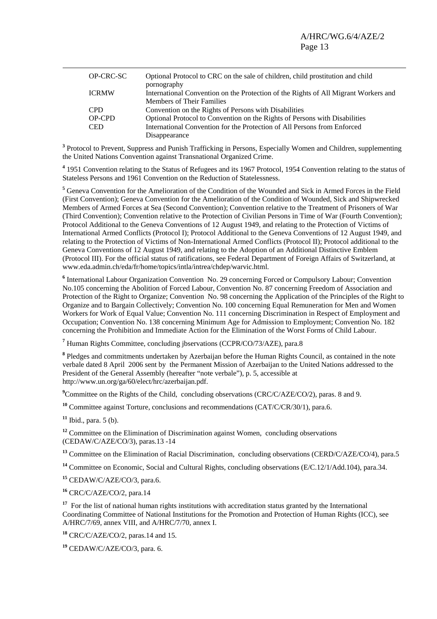|               | OP-CRC-SC | Optional Protocol to CRC on the sale of children, child prostitution and child<br>pornography                    |
|---------------|-----------|------------------------------------------------------------------------------------------------------------------|
| <b>ICRMW</b>  |           | International Convention on the Protection of the Rights of All Migrant Workers and<br>Members of Their Families |
| <b>CPD</b>    |           | Convention on the Rights of Persons with Disabilities                                                            |
| <b>OP-CPD</b> |           | Optional Protocol to Convention on the Rights of Persons with Disabilities                                       |
| <b>CED</b>    |           | International Convention for the Protection of All Persons from Enforced                                         |
|               |           | Disappearance                                                                                                    |

<sup>3</sup> Protocol to Prevent, Suppress and Punish Trafficking in Persons, Especially Women and Children, supplementing the United Nations Convention against Transnational Organized Crime.

<sup>4</sup> 1951 Convention relating to the Status of Refugees and its 1967 Protocol, 1954 Convention relating to the status of Stateless Persons and 1961 Convention on the Reduction of Statelessness.

<sup>5</sup> Geneva Convention for the Amelioration of the Condition of the Wounded and Sick in Armed Forces in the Field (First Convention); Geneva Convention for the Amelioration of the Condition of Wounded, Sick and Shipwrecked Members of Armed Forces at Sea (Second Convention); Convention relative to the Treatment of Prisoners of War (Third Convention); Convention relative to the Protection of Civilian Persons in Time of War (Fourth Convention); Protocol Additional to the Geneva Conventions of 12 August 1949, and relating to the Protection of Victims of International Armed Conflicts (Protocol I); Protocol Additional to the Geneva Conventions of 12 August 1949, and relating to the Protection of Victims of Non-International Armed Conflicts (Protocol II); Protocol additional to the Geneva Conventions of 12 August 1949, and relating to the Adoption of an Additional Distinctive Emblem (Protocol III). For the official status of ratifications, see Federal Department of Foreign Affairs of Switzerland, at www.eda.admin.ch/eda/fr/home/topics/intla/intrea/chdep/warvic.html.

<sup>6</sup> International Labour Organization Convention No. 29 concerning Forced or Compulsory Labour; Convention No.105 concerning the Abolition of Forced Labour, Convention No. 87 concerning Freedom of Association and Protection of the Right to Organize; Convention No. 98 concerning the Application of the Principles of the Right to Organize and to Bargain Collectively; Convention No. 100 concerning Equal Remuneration for Men and Women Workers for Work of Equal Value; Convention No. 111 concerning Discrimination in Respect of Employment and Occupation; Convention No. 138 concerning Minimum Age for Admission to Employment; Convention No. 182 concerning the Prohibition and Immediate Action for the Elimination of the Worst Forms of Child Labour.

**7** Human Rights Committee, concluding jbservations (CCPR/CO/73/AZE), para.8

<sup>8</sup> Pledges and commitments undertaken by Azerbaijan before the Human Rights Council, as contained in the note verbale dated 8 April 2006 sent by the Permanent Mission of Azerbaijan to the United Nations addressed to the President of the General Assembly (hereafter "note verbale"), p. 5, accessible at http://www.un.org/ga/60/elect/hrc/azerbaijan.pdf.

<sup>9</sup> Committee on the Rights of the Child, concluding observations (CRC/C/AZE/CO/2), paras. 8 and 9.

**<sup>10</sup>** Committee against Torture, conclusions and recommendations (CAT/C/CR/30/1), para.6.

**<sup>11</sup>** Ibid., para. 5 (b).

<sup>12</sup> Committee on the Elimination of Discrimination against Women, concluding observations (CEDAW/C/AZE/CO/3), paras.13 -14

<sup>13</sup> Committee on the Elimination of Racial Discrimination, concluding observations (CERD/C/AZE/CO/4), para.5

<sup>14</sup> Committee on Economic, Social and Cultural Rights, concluding observations (E/C.12/1/Add.104), para.34.

**<sup>15</sup>** CEDAW/C/AZE/CO/3, para.6.

**<sup>16</sup>** CRC/C/AZE/CO/2, para.14

<sup>17</sup> For the list of national human rights institutions with accreditation status granted by the International Coordinating Committee of National Institutions for the Promotion and Protection of Human Rights (ICC), see A/HRC/7/69, annex VIII, and A/HRC/7/70, annex I.

**<sup>18</sup>** CRC/C/AZE/CO/2, paras.14 and 15.

**<sup>19</sup>** CEDAW/C/AZE/CO/3, para. 6.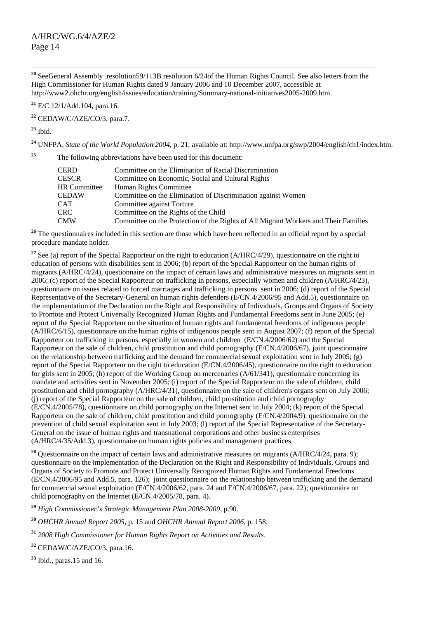**<sup>20</sup>** SeeGeneral Assembly resolution59/113B resolution 6/24of the Human Rights Council. See also letters from the High Commissioner for Human Rights dated 9 January 2006 and 10 December 2007, accessible at http://www2.ohchr.org/english/issues/education/training/Summary-national-initiatives2005-2009.htm.

**<sup>21</sup>** E/C.12/1/Add.104, para.16.

**<sup>22</sup>** CEDAW/C/AZE/CO/3, para.7.

**<sup>23</sup>** Ibid.

**<sup>24</sup>** UNFPA, *State of the World Population 2004,* p. 21, available at: http://www.unfpa.org/swp/2004/english/ch1/index.htm.

**<sup>25</sup>** The following abbreviations have been used for this document:

| CERD         | Committee on the Elimination of Racial Discrimination                               |
|--------------|-------------------------------------------------------------------------------------|
| CESCR        | Committee on Economic, Social and Cultural Rights                                   |
| HR Committee | Human Rights Committee                                                              |
| CEDAW        | Committee on the Elimination of Discrimination against Women                        |
| CAT          | Committee against Torture                                                           |
| CRC-         | Committee on the Rights of the Child                                                |
| CMW          | Committee on the Protection of the Rights of All Migrant Workers and Their Families |

<sup>26</sup> The questionnaires included in this section are those which have been reflected in an official report by a special procedure mandate holder.

<sup>27</sup> See (a) report of the Special Rapporteur on the right to education (A/HRC/4/29), questionnaire on the right to education of persons with disabilities sent in 2006; (b) report of the Special Rapporteur on the human rights of migrants (A/HRC/4/24), questionnaire on the impact of certain laws and administrative measures on migrants sent in 2006; (c) report of the Special Rapporteur on trafficking in persons, especially women and children (A/HRC/4/23), questionnaire on issues related to forced marriages and trafficking in persons sent in 2006; (d) report of the Special Representative of the Secretary-General on human rights defenders (E/CN.4/2006/95 and Add.5), questionnaire on the implementation of the Declaration on the Right and Responsibility of Individuals, Groups and Organs of Society to Promote and Protect Universally Recognized Human Rights and Fundamental Freedoms sent in June 2005; (e) report of the Special Rapporteur on the situation of human rights and fundamental freedoms of indigenous people (A/HRC/6/15), questionnaire on the human rights of indigenous people sent in August 2007; (f) report of the Special Rapporteur on trafficking in persons, especially in women and children (E/CN.4/2006/62) and the Special Rapporteur on the sale of children, child prostitution and child pornography (E/CN.4/2006/67), joint questionnaire on the relationship between trafficking and the demand for commercial sexual exploitation sent in July 2005; (g) report of the Special Rapporteur on the right to education (E/CN.4/2006/45), questionnaire on the right to education for girls sent in 2005; (h) report of the Working Group on mercenaries (A/61/341), questionnaire concerning its mandate and activities sent in November 2005; (i) report of the Special Rapporteur on the sale of children, child prostitution and child pornography (A/HRC/4/31), questionnaire on the sale of children's organs sent on July 2006; (j) report of the Special Rapporteur on the sale of children, child prostitution and child pornography (E/CN.4/2005/78), questionnaire on child pornography on the Internet sent in July 2004; (k) report of the Special Rapporteur on the sale of children, child prostitution and child pornography (E/CN.4/2004/9), questionnaire on the prevention of child sexual exploitation sent in July 2003; (l) report of the Special Representative of the Secretary-General on the issue of human rights and transnational corporations and other business enterprises (A/HRC/4/35/Add.3), questionnaire on human rights policies and management practices.

<sup>28</sup> Ouestionnaire on the impact of certain laws and administrative measures on migrants (A/HRC/4/24, para. 9); questionnaire on the implementation of the Declaration on the Right and Responsibility of Individuals, Groups and Organs of Society to Promote and Protect Universally Recognized Human Rights and Fundamental Freedoms (E/CN.4/2006/95 and Add.5, para. 126); joint questionnaire on the relationship between trafficking and the demand for commercial sexual exploitation (E/CN.4/2006/62, para. 24 and E/CN.4/2006/67, para. 22); questionnaire on child pornography on the Internet (E/CN.4/2005/78, para. 4).

**<sup>29</sup>** *High Commissioner's Strategic Management Plan 2008-2009*, p.90.

**<sup>30</sup>** *OHCHR Annual Report 2005*, p. 15 and *OHCHR Annual Report 2006*, p. 158.

**<sup>31</sup>** *2008 High Commissioner for Human Rights Report on Activities and Results*.

**<sup>32</sup>** CEDAW/C/AZE/CO/3, para.16.

**<sup>33</sup>** Ibid., paras.15 and 16.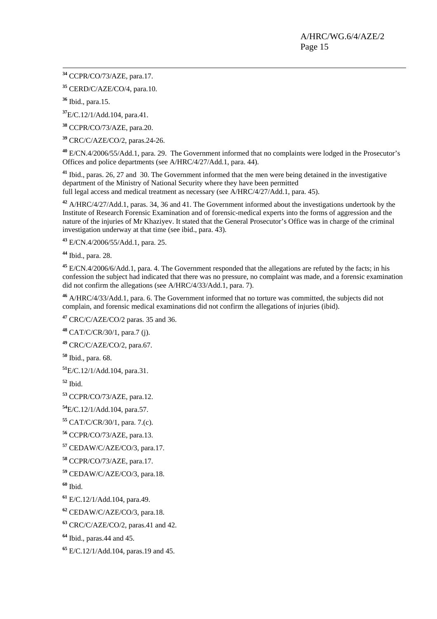**<sup>34</sup>** CCPR/CO/73/AZE, para.17.

CERD/C/AZE/CO/4, para.10.

Ibid., para.15.

E/C.12/1/Add.104, para.41.

CCPR/CO/73/AZE, para.20.

CRC/C/AZE/CO/2, paras.24-26.

 E/CN.4/2006/55/Add.1, para. 29. The Government informed that no complaints were lodged in the Prosecutor's Offices and police departments (see A/HRC/4/27/Add.1, para. 44).

 Ibid., paras. 26, 27 and 30. The Government informed that the men were being detained in the investigative department of the Ministry of National Security where they have been permitted full legal access and medical treatment as necessary (see A/HRC/4/27/Add.1, para. 45).

 A/HRC/4/27/Add.1, paras. 34, 36 and 41. The Government informed about the investigations undertook by the Institute of Research Forensic Examination and of forensic-medical experts into the forms of aggression and the nature of the injuries of Mr Khaziyev. It stated that the General Prosecutor's Office was in charge of the criminal investigation underway at that time (see ibid., para. 43).

E/CN.4/2006/55/Add.1, para. 25.

Ibid., para. 28.

 E/CN.4/2006/6/Add.1, para. 4. The Government responded that the allegations are refuted by the facts; in his confession the subject had indicated that there was no pressure, no complaint was made, and a forensic examination did not confirm the allegations (see A/HRC/4/33/Add.1, para. 7).

 A/HRC/4/33/Add.1, para. 6. The Government informed that no torture was committed, the subjects did not complain, and forensic medical examinations did not confirm the allegations of injuries (ibid).

CRC/C/AZE/CO/2 paras. 35 and 36.

CAT/C/CR/30/1, para.7 (j).

CRC/C/AZE/CO/2, para.67.

Ibid., para. 68.

E/C.12/1/Add.104, para.31.

Ibid.

CCPR/CO/73/AZE, para.12.

E/C.12/1/Add.104, para.57.

CAT/C/CR/30/1, para. 7.(c).

CCPR/CO/73/AZE, para.13.

CEDAW/C/AZE/CO/3, para.17.

CCPR/CO/73/AZE, para.17.

CEDAW/C/AZE/CO/3, para.18.

Ibid.

E/C.12/1/Add.104, para.49.

CEDAW/C/AZE/CO/3, para.18.

CRC/C/AZE/CO/2, paras.41 and 42.

Ibid., paras.44 and 45.

E/C.12/1/Add.104, paras.19 and 45.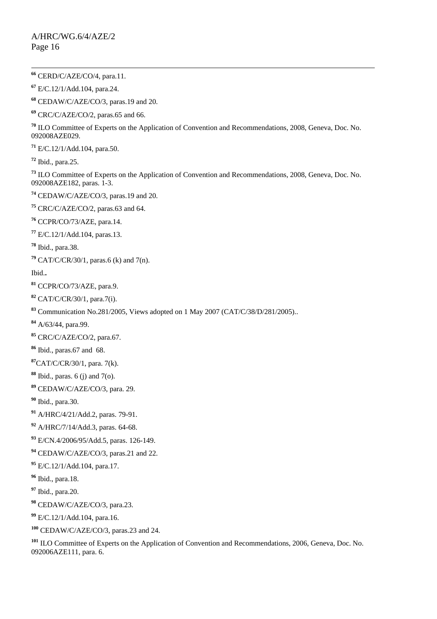**<sup>66</sup>** CERD/C/AZE/CO/4, para.11. E/C.12/1/Add.104, para.24. CEDAW/C/AZE/CO/3, paras.19 and 20. CRC/C/AZE/CO/2, paras.65 and 66. ILO Committee of Experts on the Application of Convention and Recommendations, 2008, Geneva, Doc. No. 092008AZE029. E/C.12/1/Add.104, para.50. Ibid., para.25. ILO Committee of Experts on the Application of Convention and Recommendations, 2008, Geneva, Doc. No. 092008AZE182, paras. 1-3. CEDAW/C/AZE/CO/3, paras.19 and 20. CRC/C/AZE/CO/2, paras.63 and 64. CCPR/CO/73/AZE, para.14. E/C.12/1/Add.104, paras.13. Ibid., para.38. CAT/C/CR/30/1, paras.6 (k) and 7(n). Ibid.**.**  CCPR/CO/73/AZE, para.9. CAT/C/CR/30/1, para.7(i). Communication No.281/2005, Views adopted on 1 May 2007 (CAT/C/38/D/281/2005).. A/63/44, para.99. CRC/C/AZE/CO/2, para.67. Ibid., paras.67 and 68. CAT/C/CR/30/1, para. 7(k). Ibid., paras. 6 (j) and 7(o). CEDAW/C/AZE/CO/3, para. 29. Ibid., para.30. A/HRC/4/21/Add.2, paras. 79-91. A/HRC/7/14/Add.3, paras. 64-68. E/CN.4/2006/95/Add.5, paras. 126-149. CEDAW/C/AZE/CO/3, paras.21 and 22. E/C.12/1/Add.104, para.17. Ibid., para.18. Ibid., para.20. CEDAW/C/AZE/CO/3, para.23. E/C.12/1/Add.104, para.16. CEDAW/C/AZE/CO/3, paras.23 and 24.

 ILO Committee of Experts on the Application of Convention and Recommendations, 2006, Geneva, Doc. No. 092006AZE111, para. 6.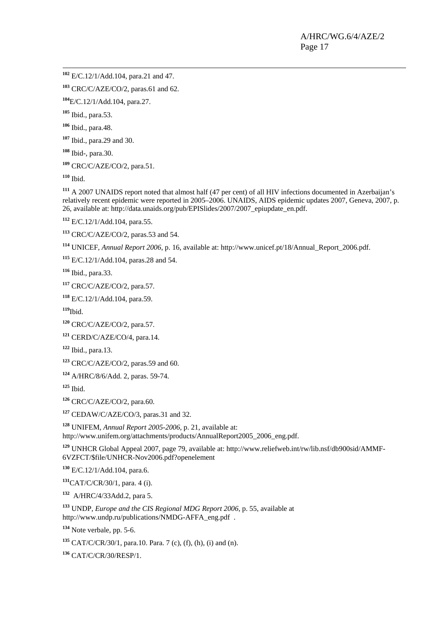**<sup>102</sup>** E/C.12/1/Add.104, para.21 and 47.

CRC/C/AZE/CO/2, paras.61 and 62.

E/C.12/1/Add.104, para.27.

Ibid., para.53.

Ibid., para.48.

Ibid., para.29 and 30.

Ibid-, para.30.

CRC/C/AZE/CO/2, para.51.

Ibid.

 A 2007 UNAIDS report noted that almost half (47 per cent) of all HIV infections documented in Azerbaijan's relatively recent epidemic were reported in 2005–2006. UNAIDS, AIDS epidemic updates 2007, Geneva, 2007, p. 26, available at: http://data.unaids.org/pub/EPISlides/2007/2007\_epiupdate\_en.pdf.

E/C.12/1/Add.104, para.55.

CRC/C/AZE/CO/2, paras.53 and 54.

UNICEF, *Annual Report 2006*, p. 16, available at: http://www.unicef.pt/18/Annual\_Report\_2006.pdf.

E/C.12/1/Add.104, paras.28 and 54.

Ibid., para.33.

CRC/C/AZE/CO/2, para.57.

E/C.12/1/Add.104, para.59.

Ibid.

CRC/C/AZE/CO/2, para.57.

CERD/C/AZE/CO/4, para.14.

Ibid., para.13.

CRC/C/AZE/CO/2, paras.59 and 60.

A/HRC/8/6/Add. 2, paras. 59-74.

Ibid.

CRC/C/AZE/CO/2, para.60.

CEDAW/C/AZE/CO/3, paras.31 and 32.

 UNIFEM, *Annual Report 2005-2006*, p. 21, available at: http://www.unifem.org/attachments/products/AnnualReport2005\_2006\_eng.pdf.

 UNHCR Global Appeal 2007, page 79, available at: http://www.reliefweb.int/rw/lib.nsf/db900sid/AMMF-6VZFCT/\$file/UNHCR-Nov2006.pdf?openelement

E/C.12/1/Add.104, para.6.

CAT/C/CR/30/1, para. 4 (i).

A/HRC/4/33Add.2, para 5.

 UNDP, *Europe and the CIS Regional MDG Report 2006*, p. 55, available at http://www.undp.ru/publications/NMDG-AFFA\_eng.pdf .

Note verbale, pp. 5-6.

CAT/C/CR/30/1, para.10. Para. 7 (c), (f), (h), (i) and (n).

CAT/C/CR/30/RESP/1.